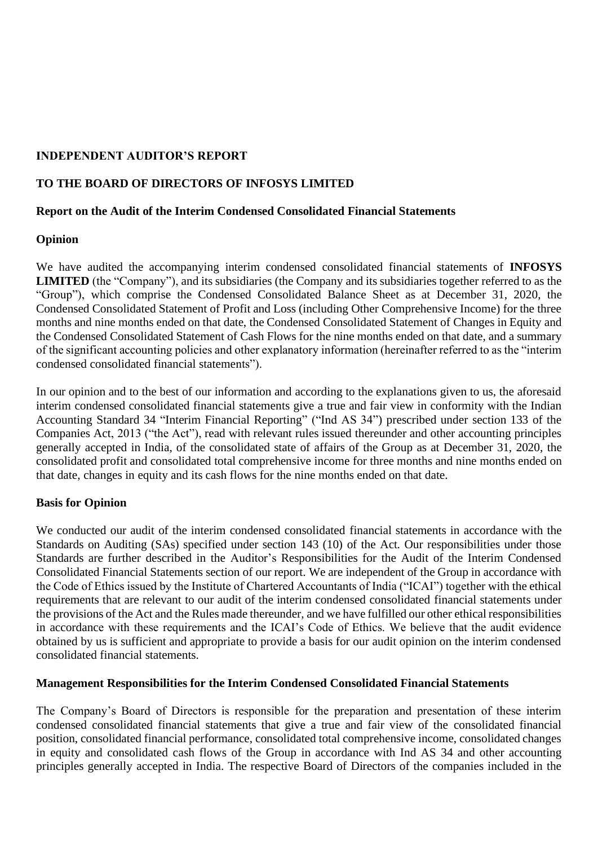# **INDEPENDENT AUDITOR'S REPORT**

# **TO THE BOARD OF DIRECTORS OF INFOSYS LIMITED**

## **Report on the Audit of the Interim Condensed Consolidated Financial Statements**

## **Opinion**

We have audited the accompanying interim condensed consolidated financial statements of **INFOSYS LIMITED** (the "Company"), and its subsidiaries (the Company and its subsidiaries together referred to as the "Group"), which comprise the Condensed Consolidated Balance Sheet as at December 31, 2020, the Condensed Consolidated Statement of Profit and Loss (including Other Comprehensive Income) for the three months and nine months ended on that date, the Condensed Consolidated Statement of Changes in Equity and the Condensed Consolidated Statement of Cash Flows for the nine months ended on that date, and a summary of the significant accounting policies and other explanatory information (hereinafter referred to as the "interim condensed consolidated financial statements").

In our opinion and to the best of our information and according to the explanations given to us, the aforesaid interim condensed consolidated financial statements give a true and fair view in conformity with the Indian Accounting Standard 34 "Interim Financial Reporting" ("Ind AS 34") prescribed under section 133 of the Companies Act, 2013 ("the Act"), read with relevant rules issued thereunder and other accounting principles generally accepted in India, of the consolidated state of affairs of the Group as at December 31, 2020, the consolidated profit and consolidated total comprehensive income for three months and nine months ended on that date, changes in equity and its cash flows for the nine months ended on that date.

#### **Basis for Opinion**

We conducted our audit of the interim condensed consolidated financial statements in accordance with the Standards on Auditing (SAs) specified under section 143 (10) of the Act. Our responsibilities under those Standards are further described in the Auditor's Responsibilities for the Audit of the Interim Condensed Consolidated Financial Statements section of our report. We are independent of the Group in accordance with the Code of Ethics issued by the Institute of Chartered Accountants of India ("ICAI") together with the ethical requirements that are relevant to our audit of the interim condensed consolidated financial statements under the provisions of the Act and the Rules made thereunder, and we have fulfilled our other ethical responsibilities in accordance with these requirements and the ICAI's Code of Ethics. We believe that the audit evidence obtained by us is sufficient and appropriate to provide a basis for our audit opinion on the interim condensed consolidated financial statements.

#### **Management Responsibilities for the Interim Condensed Consolidated Financial Statements**

The Company's Board of Directors is responsible for the preparation and presentation of these interim condensed consolidated financial statements that give a true and fair view of the consolidated financial position, consolidated financial performance, consolidated total comprehensive income, consolidated changes in equity and consolidated cash flows of the Group in accordance with Ind AS 34 and other accounting principles generally accepted in India. The respective Board of Directors of the companies included in the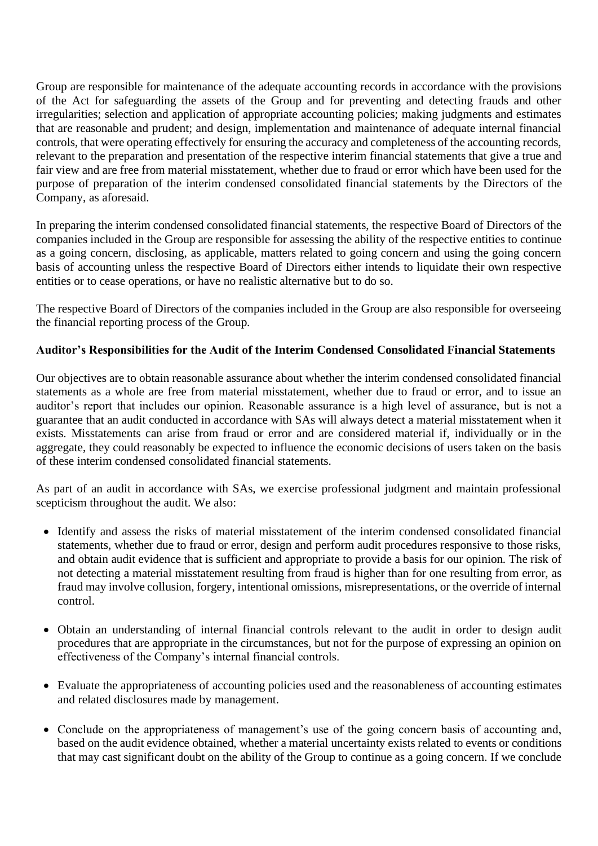Group are responsible for maintenance of the adequate accounting records in accordance with the provisions of the Act for safeguarding the assets of the Group and for preventing and detecting frauds and other irregularities; selection and application of appropriate accounting policies; making judgments and estimates that are reasonable and prudent; and design, implementation and maintenance of adequate internal financial controls, that were operating effectively for ensuring the accuracy and completeness of the accounting records, relevant to the preparation and presentation of the respective interim financial statements that give a true and fair view and are free from material misstatement, whether due to fraud or error which have been used for the purpose of preparation of the interim condensed consolidated financial statements by the Directors of the Company, as aforesaid.

In preparing the interim condensed consolidated financial statements, the respective Board of Directors of the companies included in the Group are responsible for assessing the ability of the respective entities to continue as a going concern, disclosing, as applicable, matters related to going concern and using the going concern basis of accounting unless the respective Board of Directors either intends to liquidate their own respective entities or to cease operations, or have no realistic alternative but to do so.

The respective Board of Directors of the companies included in the Group are also responsible for overseeing the financial reporting process of the Group.

## **Auditor's Responsibilities for the Audit of the Interim Condensed Consolidated Financial Statements**

Our objectives are to obtain reasonable assurance about whether the interim condensed consolidated financial statements as a whole are free from material misstatement, whether due to fraud or error, and to issue an auditor's report that includes our opinion. Reasonable assurance is a high level of assurance, but is not a guarantee that an audit conducted in accordance with SAs will always detect a material misstatement when it exists. Misstatements can arise from fraud or error and are considered material if, individually or in the aggregate, they could reasonably be expected to influence the economic decisions of users taken on the basis of these interim condensed consolidated financial statements.

As part of an audit in accordance with SAs, we exercise professional judgment and maintain professional scepticism throughout the audit. We also:

- Identify and assess the risks of material misstatement of the interim condensed consolidated financial statements, whether due to fraud or error, design and perform audit procedures responsive to those risks, and obtain audit evidence that is sufficient and appropriate to provide a basis for our opinion. The risk of not detecting a material misstatement resulting from fraud is higher than for one resulting from error, as fraud may involve collusion, forgery, intentional omissions, misrepresentations, or the override of internal control.
- Obtain an understanding of internal financial controls relevant to the audit in order to design audit procedures that are appropriate in the circumstances, but not for the purpose of expressing an opinion on effectiveness of the Company's internal financial controls.
- Evaluate the appropriateness of accounting policies used and the reasonableness of accounting estimates and related disclosures made by management.
- Conclude on the appropriateness of management's use of the going concern basis of accounting and, based on the audit evidence obtained, whether a material uncertainty exists related to events or conditions that may cast significant doubt on the ability of the Group to continue as a going concern. If we conclude